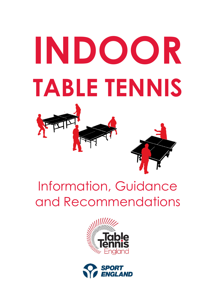# **INDOOR TABLE TENNIS**

# Information, Guidance and Recommendations



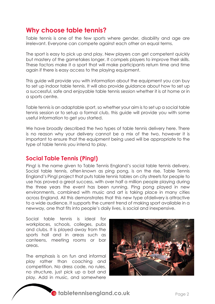# **Why choose table tennis?**

Table tennis is one of the few sports where gender, disability and age are irrelevant. Everyone can compete against each other on equal terms.

The sport is easy to pick up and play. New players can get competent quickly but mastery of the gametakes longer. It compels players to improve their skills. These factors make it a sport that will make participants return time and time again if there is easy access to the playing equipment.

This guide will provide you with information about the equipment you can buy to set up indoor table tennis. It will also provide guidance about how to set up a successful, safe and enjoyable table tennis session whether it is at home or in a sports centre.

Table tennis is an adaptable sport, so whether your aim is to set up a social table tennis session or to setup a formal club, this guide will provide you with some useful information to get you started.

We have broadly described the two types of table tennis delivery here. There is no reason why your delivery cannot be a mix of the two, however it is important to ensure that the equipment being used will be appropriate to the type of table tennis you intend to play.

#### **Social Table Tennis (Ping!)**

Ping! is the name given to Table Tennis England's social table tennis delivery. Social table tennis, often known as ping pong, is on the rise. Table Tennis England's Ping! project that puts table tennis tables on city streets for people to use has proved a great success, with over half a million people playing during the three years the event has been running. Ping pong played in new environments, combined with music and art is taking place in many cities across England. All this demonstrates that this new type ofdelivery is attractive to a wide audience. It supports the current trend of making sport available in a newway, one that fits into people's daily lives, is social and inexpensive.

Social table tennis is ideal for workplaces, schools, colleges, pubs and clubs. It is played away from the sports hall and in areas such as canteens, meeting rooms or bar areas.

The emphasis is on fun and informal play rather than coaching and competition. No dress code, no rules, no structure, just pick up a bat and play. Add in music, and somewhere



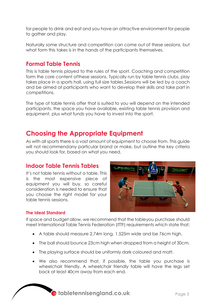for people to drink and eat and you have an attractive environment for people to gather and play.

Naturally some structure and competition can come out of these sessions, but what form this takes is in the hands of the participants themselves.

### **Formal Table Tennis**

This is table tennis played to the rules of the sport. Coaching and competition form the core content ofthese sessions. Typically run by table tennis clubs, play takes place in a sports hall, using full size tables.Sessions will be led by a coach and be aimed at participants who want to develop their skills and take part in competitions.

The type of table tennis offer that is suited to you will depend on the intended participants, the space you have available, existing table tennis provision and equipment, plus what funds you have to invest into the sport.

# **Choosing the Appropriate Equipment**

As with all sports there is a vast amount of equipment to choose from. This guide will not recommendany particular brand or make, but outline the key criteria you should look for, based on what you need.

#### **Indoor Table Tennis Tables**

It's not table tennis without a table. This is the most expensive piece of equipment you will buy, so careful consideration is needed to ensure that you choose the right model for your table tennis sessions.



#### **The Ideal Standard**

If space and budget allow, we recommend that the tableyou purchase should meet International Table Tennis Federation (ITTF) requirements which state that:

- A table should measure 2.74m long, 1.525m wide and be 76cm high.
- The ball should bounce 23cm high when dropped from a height of 30cm.
- The playing surface should be uniformly dark coloured and matt.
- We also recommend that, if possible, the table you purchase is wheelchair friendly. A wheelchair friendly table will have the legs set back at least 40cm away from each end.

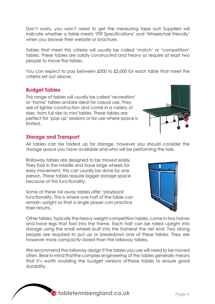Don't worry, you won't need to get the measuring tape out! Suppliers will indicate whether a table meets 'ITTF Specifications' and 'Wheelchair Friendly' when you browse their website or brochure.

Tables that meet this criteria will usually be called 'match' or 'competition' tables. These tables are solidly constructed and heavy so require at least two people to move the tables.

You can expect to pay between £500 to £2,000 for each table that meet the criteria set out above.

#### **Budget Tables**

This range of tables will usually be called 'recreation' or 'home' tables andare ideal for casual use. They are of lighter construction and come in a variety of sizes, from full size to mini tables. These tables are perfect for 'pop up' sessions or for use where space is limited.



#### **Storage and Transport**

All tables can be folded up for storage, however you should consider the storage space you have available and who will be performing the task.

Rollaway tables are designed to be moved easily. They fold in the middle and have large wheels for easy movement, this can usually be done by one person. These tables require bigger storage space because of this functionality.

Some of these roll away tables offer 'playback' functionality. This is where one half of the table can remain upright so that a single player can practice their returns.



Other tables, typically the heavy weight competition tables, come in two halves and have legs that fold into the frame. Each half can be rolled upright into storage using the small wheels built into the frameat the net end. Two strong people are required to put up or breakdown one of these tables. They are however more compactly stored than the rollaway tables.

We recommend the rollaway design if the tables you use will need to be moved often. Bear in mind thatthe complex engineering of the tables generally means that it's worth avoiding the budget versions ofthese tables to ensure good durability.

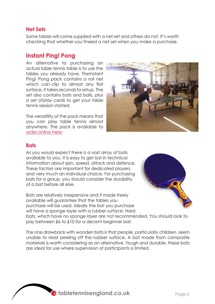#### **Net Sets**

Some tables will come supplied with a net set and others do not. It's worth checking that whether you'llneed a net set when you make a purchase.

#### **Instant Ping! Pong**

An alternative to purchasing an actual table tennis table is to use the tables you already have. TheInstant Ping! Pong pack contains a roll net which can clip to almost any flat surface. It takes seconds to setup. The set also contains bats and balls, plus a set ofplay cards to get your table tennis session started.

The versatility of the pack means that you can play table tennis almost anywhere. The pack is available to [order online here:](https://www.tabletennisengland.co.uk/shop/ping-in-the-community/instant-ping-pong-pack-full/)



#### **Bats**

As you would expect there is a vast array of bats available to you. It is easy to get lost in technical information about spin, speed, attack and defence. These factors are important for dedicated players, and very much an individual choice. For purchasing bats for a group, you should consider the durability of a bat before all else.

Bats are relatively inexpensive and if made freely available will guarantee that the tables you purchase will be used. Ideally the bat you purchase will have a sponge layer with a rubber surface. Hard



bats, which have no sponge layer are not recommended. You should look to pay between £6 to £10 for a decent beginner bat.

The one drawback with wooden bats is that people, particularly children, seem unable to resist peeling off the rubber surface. A bat made from composite materials is worth considering as an alternative. Tough and durable, these bats are ideal for use where supervision of participants is limited.

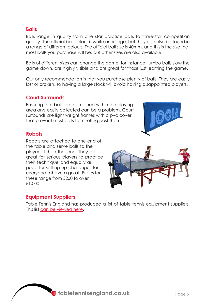#### **Balls**

Balls range in quality from one star practice balls to three-star competition quality. The official ball colour is white or orange, but they can also be found in a range of different colours. The official ball size is 40mm, and this is the size that most balls you purchase will be, but other sizes are also available.

Balls of different sizes can change the game, for instance, jumbo balls slow the game down, are highly visible and are great for those just learning the game.

Our only recommendation is that you purchase plenty of balls. They are easily lost or broken, so having a large stock will avoid having disappointed players.

#### **Court Surrounds**

Ensuring that balls are contained within the playing area and easily collected can be a problem. Court surrounds are light weight frames with a pvc cover that prevent most balls from rolling past them.



#### **Robots**

Robots are attached to one end of the table and serve balls to the player at the other end. They are great for serious players to practice their technique and equally as good for setting up challenges for everyone tohave a go at. Prices for these range from £200 to over £1,000.

#### **Equipment Suppliers**

Table Tennis England has produced a list of table tennis equipment suppliers. This list [can be viewed here.](https://www.tabletennisengland.co.uk/clubs/facilities-guidance/)



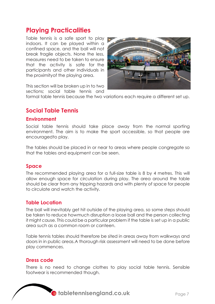# **Playing Practicalities**

Table tennis is a safe sport to play indoors. It can be played within a confined space, and the ball will not break fragile objects. None the less, measures need to be taken to ensure that the activity is safe for the participants and other individuals in the proximityof the playing area.



This section will be broken up in to two sections; social table tennis and

formal table tennis because the two variations each require a different set up.

# **Social Table Tennis**

#### **Environment**

Social table tennis should take place away from the normal sporting environment. The aim is to make the sport accessible, so that people are encouragedto play.

The tables should be placed in or near to areas where people congregate so that the tables and equipment can be seen.

#### **Space**

The recommended playing area for a full-size table is 8 by 4 metres. This will allow enough space for circulation during play. The area around the table should be clear from any tripping hazards and with plenty of space for people to circulate and watch the activity.

#### **Table Location**

The ball will inevitably get hit outside of the playing area, so some steps should be taken to reduce howmuch disruption a loose ball and the person collecting it might cause. This could be a particular problem if the table is set up in a public area such as a common room or canteen.

Table tennis tables should therefore be sited in areas away from walkways and doors in in public areas.A thorough risk assessment will need to be done before play commences.

#### **Dress code**

There is no need to change clothes to play social table tennis. Sensible footwear is recommended though.

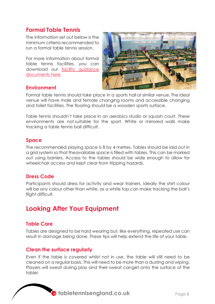# **Formal Table Tennis**

The information set out below is the minimum criteria recommended to run a formal table tennis session.

For more information about formal table tennis facilities, you can download our facility [guidance](https://www.tabletennisengland.co.uk/clubs/facilities-guidance/)  [documents here.](https://www.tabletennisengland.co.uk/clubs/facilities-guidance/)



#### **Environment**

Formal table tennis should take place in a sports hall or similar venue. The ideal venue will have male and female changing rooms and accessible changing and toilet facilities. The flooring should be a wooden sports surface.

Table tennis shouldn't take place in an aerobics studio or squash court. These environments are not suitable for the sport. White or mirrored walls make tracking a table tennis ball difficult.

#### **Space**

The recommended playing space is 8 by 4 metres. Tables should be laid out in a grid system so that theavailable space is filled with tables. This can be marked out using barriers. Access to the tables should be wide enough to allow for wheelchair access and kept clear from tripping hazards.

#### **Dress Code**

Participants should dress for activity and wear trainers. Ideally the shirt colour will be any colour other than white, as a white top can make tracking the ball's flight difficult.

# **Looking After Your Equipment**

#### **Table Care**

Tables are designed to be hard wearing but, like everything, repeated use can result in damage being done. These tips will help extend the life of your table.

#### **Clean the surface regularly**

Even if the table is covered whilst not in use, the table will still need to be cleaned on a regular basis. This will need to be more than a dusting and wiping. Players will sweat during play and their sweat canget onto the surface of the table!

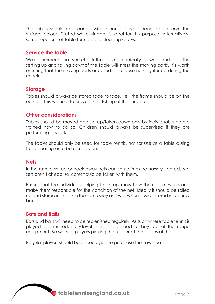The tables should be cleaned with a nonabrasive cleaner to preserve the surface colour. Diluted white vinegar is ideal for this purpose. Alternatively, some suppliers sell table tennis table cleaning sprays.

#### **Service the table**

We recommend that you check the table periodically for wear and tear. The setting up and taking downof the table will stress the moving parts. It's worth ensuring that the moving parts are oiled, and loose nuts tightened during the check.

#### **Storage**

Tables should always be stored face to face, i.e., the frame should be on the outside. This will help to prevent scratching of the surface.

#### **Other considerations**

Tables should be moved and set up/taken down only by individuals who are trained how to do so. Children should always be supervised if they are performing this task.

The tables should only be used for table tennis, not for use as a table during fetes, seating or to be climbed on.

#### **Nets**

In the rush to set up or pack away nets can sometimes be harshly treated. Net sets aren't cheap, so careshould be taken with them.

Ensure that the individuals helping to set up know how the net set works and make them responsible for the condition of the net. Ideally it should be rolled up and stored in its box in the same way as it was when new or stored in a sturdy box.

#### **Bats and Balls**

Bats and balls will need to be replenished regularly. As such where table tennis is played at an introductory level there is no need to buy top of the range equipment. Be wary of players picking the rubber at the edges of the bat.

Regular players should be encouraged to purchase their own bat.